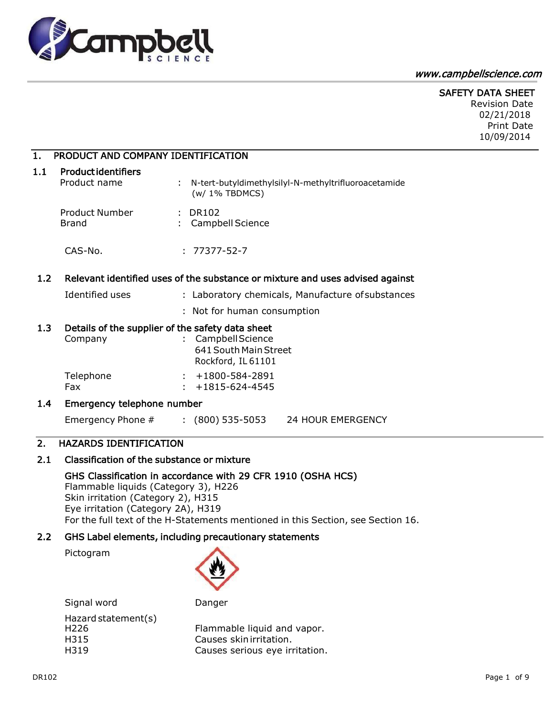

#### [www.campbellscience.com](http://www.campbellscience.com/)

## SAFETY DATA SHEET

Revision Date 02/21/2018 Print Date 10/09/2014

## 1. PRODUCT AND COMPANY IDENTIFICATION

#### 1.1 Product identifiers

| Product name          | : N-tert-butyldimethylsilyl-N-methyltrifluoroacetamide<br>$(w/1\%$ TBDMCS) |
|-----------------------|----------------------------------------------------------------------------|
| <b>Product Number</b> | : DR102                                                                    |
| Brand                 | : Campbell Science                                                         |

CAS-No. : 77377-52-7

#### 1.2 Relevant identified uses of the substance or mixture and uses advised against

- Identified uses : Laboratory chemicals, Manufacture of substances
	- : Not for human consumption

## 1.3 Details of the supplier of the safety data sheet

| Company   | : Campbell Science     |  |
|-----------|------------------------|--|
|           | 641 South Main Street  |  |
|           | Rockford, IL 61101     |  |
| Telephone | $: +1800 - 584 - 2891$ |  |
| Fax       | $: +1815 - 624 - 4545$ |  |

## 1.4 Emergency telephone number

Emergency Phone # : (800) 535-5053 24 HOUR EMERGENCY

## 2. HAZARDS IDENTIFICATION

## 2.1 Classification of the substance or mixture

## GHS Classification in accordance with 29 CFR 1910 (OSHA HCS)

Flammable liquids (Category 3), H226 Skin irritation (Category 2), H315 Eye irritation (Category 2A), H319 For the full text of the H-Statements mentioned in this Section, see Section 16.

#### 2.2 GHS Label elements, including precautionary statements

Pictogram



| Signal word                                             | Danger                                                                                  |
|---------------------------------------------------------|-----------------------------------------------------------------------------------------|
| Hazard statement(s)<br>H <sub>226</sub><br>H315<br>H319 | Flammable liquid and vapor.<br>Causes skinirritation.<br>Causes serious eye irritation. |
|                                                         |                                                                                         |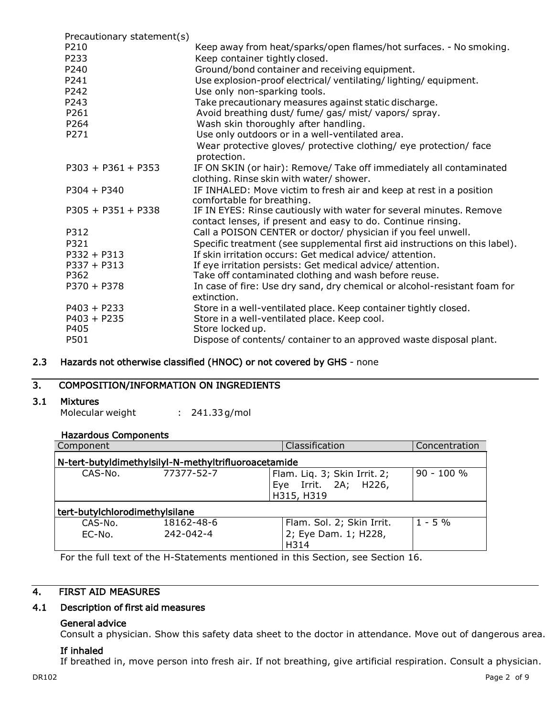| Precautionary statement(s) |                                                                                                   |
|----------------------------|---------------------------------------------------------------------------------------------------|
| P210                       | Keep away from heat/sparks/open flames/hot surfaces. - No smoking.                                |
| P233                       | Keep container tightly closed.                                                                    |
| P240                       | Ground/bond container and receiving equipment.                                                    |
| P241                       | Use explosion-proof electrical/ventilating/lighting/equipment.                                    |
| P242                       | Use only non-sparking tools.                                                                      |
| P243                       | Take precautionary measures against static discharge.                                             |
| P261                       | Avoid breathing dust/ fume/ gas/ mist/ vapors/ spray.                                             |
| P264                       | Wash skin thoroughly after handling.                                                              |
| P271                       | Use only outdoors or in a well-ventilated area.                                                   |
|                            | Wear protective gloves/ protective clothing/ eye protection/ face<br>protection.                  |
| $P303 + P361 + P353$       | IF ON SKIN (or hair): Remove/ Take off immediately all contaminated                               |
|                            | clothing. Rinse skin with water/ shower.                                                          |
| $P304 + P340$              | IF INHALED: Move victim to fresh air and keep at rest in a position<br>comfortable for breathing. |
| $P305 + P351 + P338$       | IF IN EYES: Rinse cautiously with water for several minutes. Remove                               |
|                            | contact lenses, if present and easy to do. Continue rinsing.                                      |
| P312                       | Call a POISON CENTER or doctor/ physician if you feel unwell.                                     |
| P321                       | Specific treatment (see supplemental first aid instructions on this label).                       |
| $P332 + P313$              | If skin irritation occurs: Get medical advice/attention.                                          |
| $P337 + P313$              | If eye irritation persists: Get medical advice/attention.                                         |
| P362                       | Take off contaminated clothing and wash before reuse.                                             |
| $P370 + P378$              | In case of fire: Use dry sand, dry chemical or alcohol-resistant foam for<br>extinction.          |
| $P403 + P233$              | Store in a well-ventilated place. Keep container tightly closed.                                  |
| $P403 + P235$              | Store in a well-ventilated place. Keep cool.                                                      |
| P405                       | Store locked up.                                                                                  |
| P501                       | Dispose of contents/ container to an approved waste disposal plant.                               |

## 2.3 Hazards not otherwise classified (HNOC) or not covered by GHS - none

## 3. COMPOSITION/INFORMATION ON INGREDIENTS

## 3.1 Mixtures

Molecular weight : 241.33g/mol

## Hazardous Components

| Component                                            |            | Classification                                                     | Concentration |
|------------------------------------------------------|------------|--------------------------------------------------------------------|---------------|
| N-tert-butyldimethylsilyl-N-methyltrifluoroacetamide |            |                                                                    |               |
| CAS-No.                                              | 77377-52-7 | Flam. Liq. 3; Skin Irrit. 2;<br>Eye Irrit. 2A; H226,<br>H315, H319 | $90 - 100 %$  |
| tert-butylchlorodimethylsilane                       |            |                                                                    |               |
| CAS-No.                                              | 18162-48-6 | Flam. Sol. 2; Skin Irrit.                                          | $1 - 5%$      |
| EC-No.                                               | 242-042-4  | 2; Eye Dam. 1; H228,                                               |               |
|                                                      |            | H314                                                               |               |

For the full text of the H-Statements mentioned in this Section, see Section 16.

## 4. FIRST AID MEASURES

## 4.1 Description of first aid measures

## General advice

Consult a physician. Show this safety data sheet to the doctor in attendance. Move out of dangerous area.

## If inhaled

If breathed in, move person into fresh air. If not breathing, give artificial respiration. Consult a physician.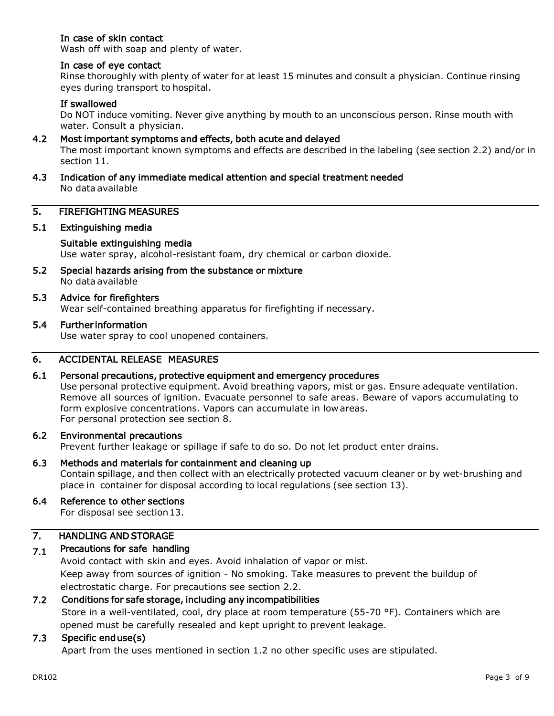## In case of skin contact

Wash off with soap and plenty of water.

## In case of eye contact

Rinse thoroughly with plenty of water for at least 15 minutes and consult a physician. Continue rinsing eyes during transport to hospital.

## If swallowed

Do NOT induce vomiting. Never give anything by mouth to an unconscious person. Rinse mouth with water. Consult a physician.

#### 4.2 Most important symptoms and effects, both acute and delayed

The most important known symptoms and effects are described in the labeling (see section 2.2) and/or in section 11.

4.3 Indication of any immediate medical attention and special treatment needed No data available

#### 5. FIREFIGHTING MEASURES

## 5.1 Extinguishing media

#### Suitable extinguishing media

Use water spray, alcohol-resistant foam, dry chemical or carbon dioxide.

5.2 Special hazards arising from the substance or mixture No data available

## 5.3 Advice for firefighters

Wear self-contained breathing apparatus for firefighting if necessary.

#### 5.4 Further information

Use water spray to cool unopened containers.

## 6. ACCIDENTAL RELEASE MEASURES

#### 6.1 Personal precautions, protective equipment and emergency procedures

Use personal protective equipment. Avoid breathing vapors, mist or gas. Ensure adequate ventilation. Remove all sources of ignition. Evacuate personnel to safe areas. Beware of vapors accumulating to form explosive concentrations. Vapors can accumulate in low areas. For personal protection see section 8.

#### 6.2 Environmental precautions

Prevent further leakage or spillage if safe to do so. Do not let product enter drains.

6.3 Methods and materials for containment and cleaning up Contain spillage, and then collect with an electrically protected vacuum cleaner or by wet-brushing and place in container for disposal according to local regulations (see section 13).

#### 6.4 Reference to other sections

For disposal see section 13.

#### 7. HANDLING AND STORAGE

#### 7.1 Precautions for safe handling

Avoid contact with skin and eyes. Avoid inhalation of vapor or mist. Keep away from sources of ignition - No smoking. Take measures to prevent the buildup of electrostatic charge. For precautions see section 2.2.

#### 7.2 Conditions for safe storage, including any incompatibilities

Store in a well-ventilated, cool, dry place at room temperature (55-70 °F). Containers which are opened must be carefully resealed and kept upright to prevent leakage.

#### 7.3 Specific end use(s)

Apart from the uses mentioned in section 1.2 no other specific uses are stipulated.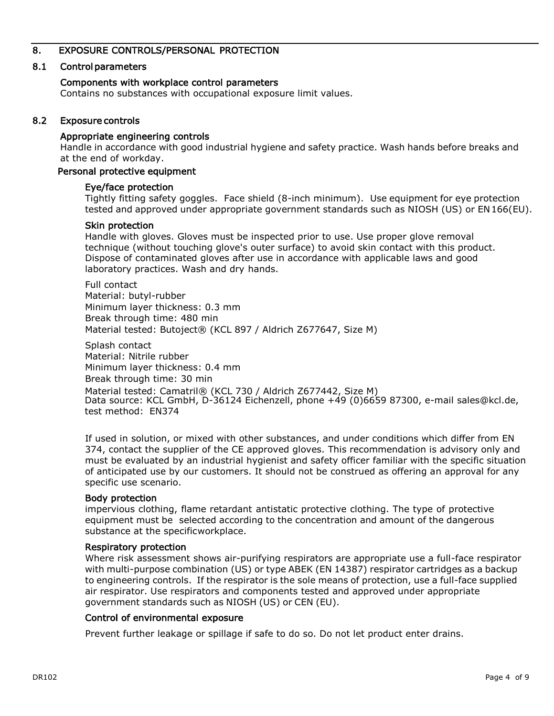## 8. EXPOSURE CONTROLS/PERSONAL PROTECTION

## 8.1 Control parameters

## Components with workplace control parameters

Contains no substances with occupational exposure limit values.

## 8.2 Exposure controls

## Appropriate engineering controls

Handle in accordance with good industrial hygiene and safety practice. Wash hands before breaks and at the end of workday.

## Personal protective equipment

## Eye/face protection

Tightly fitting safety goggles. Face shield (8-inch minimum). Use equipment for eye protection tested and approved under appropriate government standards such as NIOSH (US) or EN166(EU).

## Skin protection

Handle with gloves. Gloves must be inspected prior to use. Use proper glove removal technique (without touching glove's outer surface) to avoid skin contact with this product. Dispose of contaminated gloves after use in accordance with applicable laws and good laboratory practices. Wash and dry hands.

Full contact Material: butyl-rubber Minimum layer thickness: 0.3 mm Break through time: 480 min Material tested: Butoject® (KCL 897 / Aldrich Z677647, Size M)

Splash contact Material: Nitrile rubber Minimum layer thickness: 0.4 mm Break through time: 30 min Material tested: Camatril® (KCL 730 / Aldrich Z677442, Size M) Data source: KCL GmbH, D-36124 Eichenzell, phone +49 (0)6659 87300, e-mail [sales@kcl.de,](mailto:sales@kcl.de) test method: EN374

If used in solution, or mixed with other substances, and under conditions which differ from EN 374, contact the supplier of the CE approved gloves. This recommendation is advisory only and must be evaluated by an industrial hygienist and safety officer familiar with the specific situation of anticipated use by our customers. It should not be construed as offering an approval for any specific use scenario.

## Body protection

impervious clothing, flame retardant antistatic protective clothing. The type of protective equipment must be selected according to the concentration and amount of the dangerous substance at the specificworkplace.

## Respiratory protection

Where risk assessment shows air-purifying respirators are appropriate use a full-face respirator with multi-purpose combination (US) or type ABEK (EN 14387) respirator cartridges as a backup to engineering controls. If the respirator is the sole means of protection, use a full-face supplied air respirator. Use respirators and components tested and approved under appropriate government standards such as NIOSH (US) or CEN (EU).

## Control of environmental exposure

Prevent further leakage or spillage if safe to do so. Do not let product enter drains.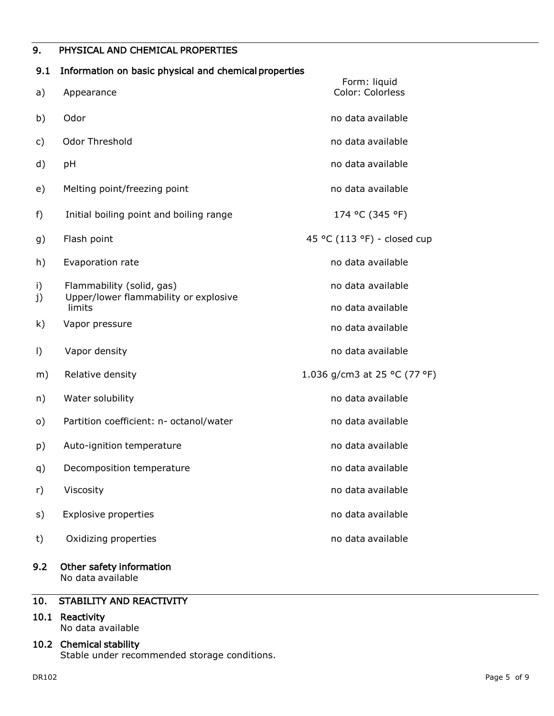## 9. PHYSICAL AND CHEMICAL PROPERTIES

## 9.1 Information on basic physical and chemical properties

| a)       | Appearance                                                         | Form: liquid<br>Color: Colorless |
|----------|--------------------------------------------------------------------|----------------------------------|
| b)       | Odor                                                               | no data available                |
| c)       | Odor Threshold                                                     | no data available                |
| d)       | pH                                                                 | no data available                |
| e)       | Melting point/freezing point                                       | no data available                |
| f)       | Initial boiling point and boiling range                            | 174 °C (345 °F)                  |
| g)       | Flash point                                                        | 45 °C (113 °F) - closed cup      |
| h)       | Evaporation rate                                                   | no data available                |
| i)<br>j) | Flammability (solid, gas)<br>Upper/lower flammability or explosive | no data available                |
|          | limits                                                             | no data available                |
| k)       | Vapor pressure                                                     | no data available                |
| $\vert$  | Vapor density                                                      | no data available                |
| m)       | Relative density                                                   | 1.036 g/cm3 at 25 °C (77 °F)     |
| n)       | Water solubility                                                   | no data available                |
| $\circ)$ | Partition coefficient: n- octanol/water                            | no data available                |
| p)       | Auto-ignition temperature                                          | no data available                |
| q)       | Decomposition temperature                                          | no data available                |
| r)       | Viscosity                                                          | no data available                |
| s)       | <b>Explosive properties</b>                                        | no data available                |
| t)       | Oxidizing properties                                               | no data available                |
| 9.2      | Other safety information                                           |                                  |

No data available

## 10. STABILITY AND REACTIVITY

#### 10.1 Reactivity No data available

## 10.2 Chemical stability

Stable under recommended storage conditions.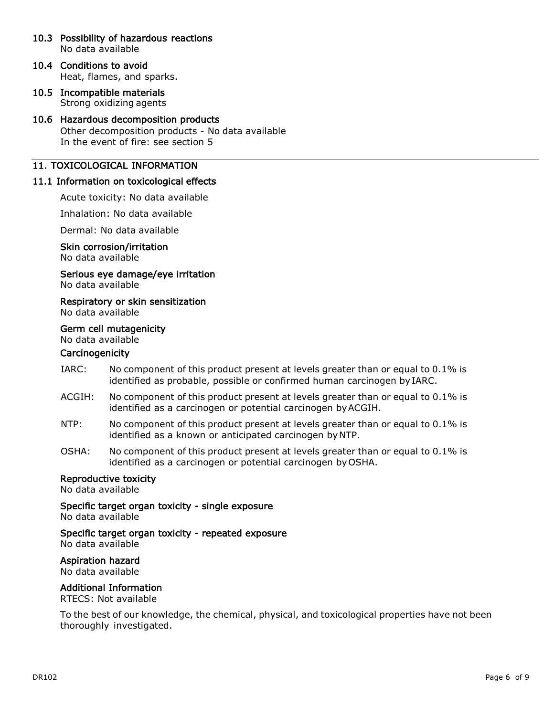- 10.3 Possibility of hazardous reactions No data available
- 10.4 Conditions to avoid Heat, flames, and sparks.
- 10.5 Incompatible materials Strong oxidizing agents

## 10.6 Hazardous decomposition products

Other decomposition products - No data available In the event of fire: see section 5

## 11. TOXICOLOGICAL INFORMATION

## 11.1 Information on toxicological effects

Acute toxicity: No data available

Inhalation: No data available

Dermal: No data available

#### Skin corrosion/irritation

No data available

#### Serious eye damage/eye irritation No data available

Respiratory or skin sensitization

No data available

## Germ cell mutagenicity

## No data available

## **Carcinogenicity**

- IARC: No component of this product present at levels greater than or equal to 0.1% is identified as probable, possible or confirmed human carcinogen by IARC.
- ACGIH: No component of this product present at levels greater than or equal to 0.1% is identified as a carcinogen or potential carcinogen byACGIH.
- NTP: No component of this product present at levels greater than or equal to 0.1% is identified as a known or anticipated carcinogen byNTP.
- OSHA: No component of this product present at levels greater than or equal to 0.1% is identified as a carcinogen or potential carcinogen by OSHA.

## Reproductive toxicity

No data available

Specific target organ toxicity - single exposure

No data available

Specific target organ toxicity - repeated exposure

No data available

## Aspiration hazard

No data available

## Additional Information

RTECS: Not available

To the best of our knowledge, the chemical, physical, and toxicological properties have not been thoroughly investigated.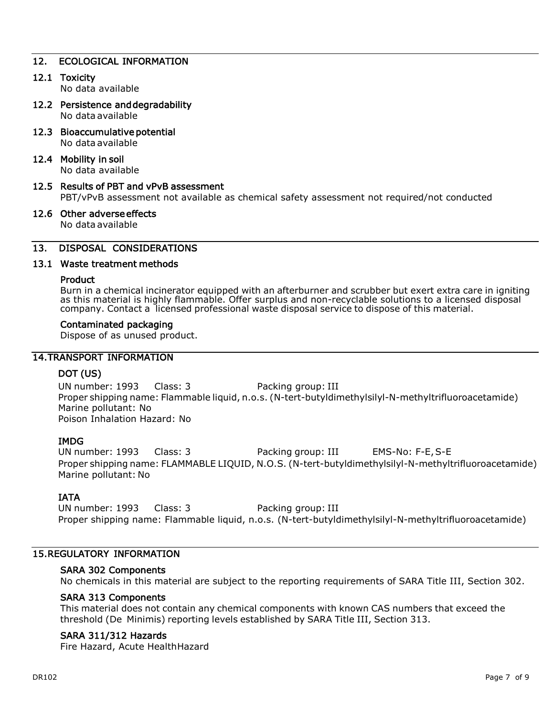## 12. ECOLOGICAL INFORMATION

#### 12.1 Toxicity

No data available

- 12.2 Persistence and degradability No data available
- 12.3 Bioaccumulative potential

No data available

## 12.4 Mobility in soil

No data available

## 12.5 Results of PBT and vPvB assessment

PBT/vPvB assessment not available as chemical safety assessment not required/not conducted

#### 12.6 Other adverse effects No data available

# 13. DISPOSAL CONSIDERATIONS

# 13.1 Waste treatment methods

#### Product

Burn in a chemical incinerator equipped with an afterburner and scrubber but exert extra care in igniting as this material is highly flammable. Offer surplus and non-recyclable solutions to a licensed disposal company. Contact a licensed professional waste disposal service to dispose of this material.

#### Contaminated packaging

Dispose of as unused product.

## 14.TRANSPORT INFORMATION

## DOT (US)

UN number: 1993 Class: 3 Packing group: III Proper shipping name: Flammable liquid, n.o.s. (N-tert-butyldimethylsilyl-N-methyltrifluoroacetamide) Marine pollutant: No Poison Inhalation Hazard: No

## IMDG

UN number: 1993 Class: 3 Packing group: III EMS-No: F-E, S-E Proper shipping name: FLAMMABLE LIQUID, N.O.S. (N-tert-butyldimethylsilyl-N-methyltrifluoroacetamide) Marine pollutant: No

## IATA

UN number: 1993 Class: 3 Packing group: III Proper shipping name: Flammable liquid, n.o.s. (N-tert-butyldimethylsilyl-N-methyltrifluoroacetamide)

## 15.REGULATORY INFORMATION

## SARA 302 Components

No chemicals in this material are subject to the reporting requirements of SARA Title III, Section 302.

## SARA 313 Components

This material does not contain any chemical components with known CAS numbers that exceed the threshold (De Minimis) reporting levels established by SARA Title III, Section 313.

## SARA 311/312 Hazards

Fire Hazard, Acute HealthHazard